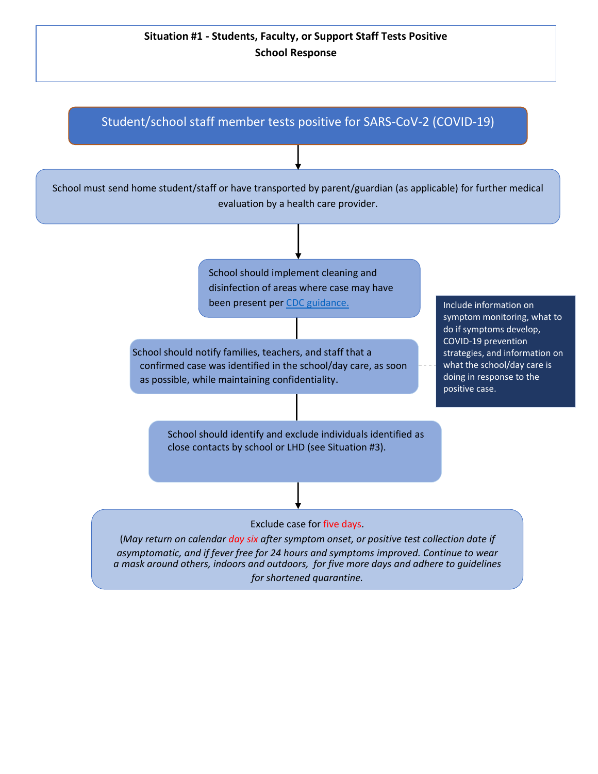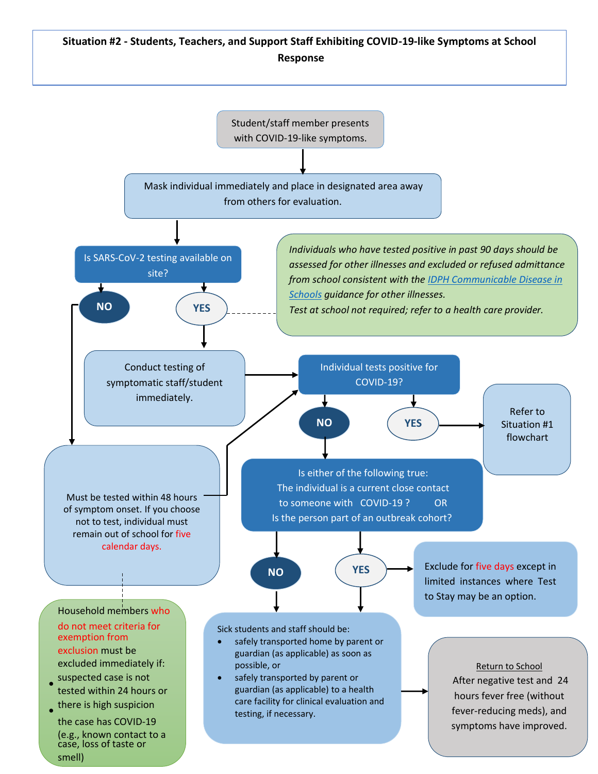## **Situation #2 - Students, Teachers, and Support Staff Exhibiting COVID-19-like Symptoms at School Response**